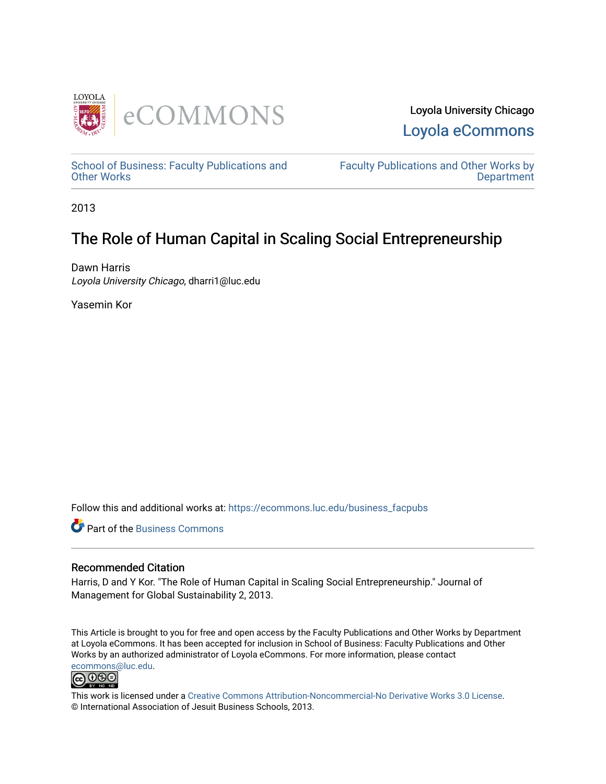



[School of Business: Faculty Publications and](https://ecommons.luc.edu/business_facpubs) [Other Works](https://ecommons.luc.edu/business_facpubs)

[Faculty Publications and Other Works by](https://ecommons.luc.edu/faculty)  **Department** 

2013

# The Role of Human Capital in Scaling Social Entrepreneurship

Dawn Harris Loyola University Chicago, dharri1@luc.edu

Yasemin Kor

Follow this and additional works at: [https://ecommons.luc.edu/business\\_facpubs](https://ecommons.luc.edu/business_facpubs?utm_source=ecommons.luc.edu%2Fbusiness_facpubs%2F30&utm_medium=PDF&utm_campaign=PDFCoverPages) 

**Part of the [Business Commons](http://network.bepress.com/hgg/discipline/622?utm_source=ecommons.luc.edu%2Fbusiness_facpubs%2F30&utm_medium=PDF&utm_campaign=PDFCoverPages)** 

# Recommended Citation

Harris, D and Y Kor. "The Role of Human Capital in Scaling Social Entrepreneurship." Journal of Management for Global Sustainability 2, 2013.

This Article is brought to you for free and open access by the Faculty Publications and Other Works by Department at Loyola eCommons. It has been accepted for inclusion in School of Business: Faculty Publications and Other Works by an authorized administrator of Loyola eCommons. For more information, please contact [ecommons@luc.edu](mailto:ecommons@luc.edu).



This work is licensed under a [Creative Commons Attribution-Noncommercial-No Derivative Works 3.0 License.](https://creativecommons.org/licenses/by-nc-nd/3.0/) © International Association of Jesuit Business Schools, 2013.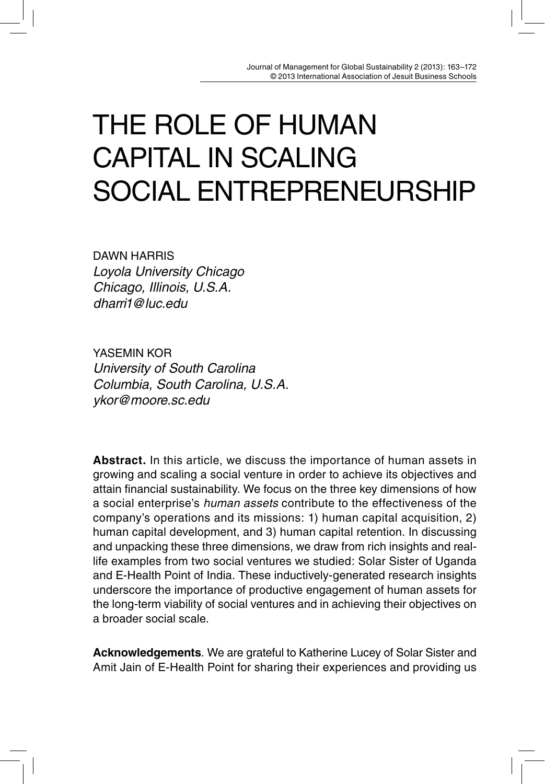# THE ROLE OF HUMAN CAPITAL IN SCALING SOCIAL ENTREPRENEURSHIP

DAWN HARRIS Loyola University Chicago Chicago, Illinois, U.S.A. dharri1@luc.edu

YASEMIN KOR University of South Carolina Columbia, South Carolina, U.S.A. ykor@moore.sc.edu

**Abstract.** In this article, we discuss the importance of human assets in growing and scaling a social venture in order to achieve its objectives and attain financial sustainability. We focus on the three key dimensions of how a social enterprise's human assets contribute to the effectiveness of the company's operations and its missions: 1) human capital acquisition, 2) human capital development, and 3) human capital retention. In discussing and unpacking these three dimensions, we draw from rich insights and reallife examples from two social ventures we studied: Solar Sister of Uganda and E-Health Point of India. These inductively-generated research insights underscore the importance of productive engagement of human assets for the long-term viability of social ventures and in achieving their objectives on a broader social scale.

**Acknowledgements**. We are grateful to Katherine Lucey of Solar Sister and Amit Jain of E-Health Point for sharing their experiences and providing us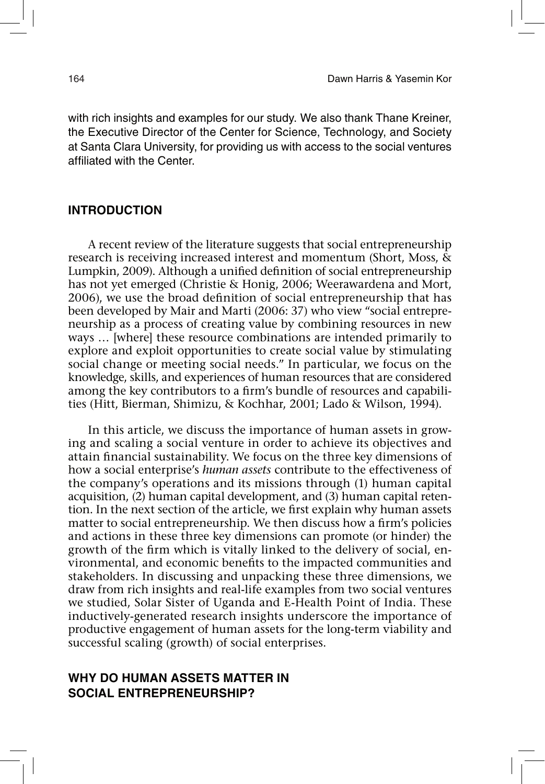with rich insights and examples for our study. We also thank Thane Kreiner, the Executive Director of the Center for Science, Technology, and Society at Santa Clara University, for providing us with access to the social ventures affiliated with the Center.

# **INTRODUCTION**

A recent review of the literature suggests that social entrepreneurship research is receiving increased interest and momentum (Short, Moss, & Lumpkin, 2009). Although a unified definition of social entrepreneurship has not yet emerged (Christie & Honig, 2006; Weerawardena and Mort, 2006), we use the broad definition of social entrepreneurship that has been developed by Mair and Marti (2006: 37) who view "social entrepreneurship as a process of creating value by combining resources in new ways … [where] these resource combinations are intended primarily to explore and exploit opportunities to create social value by stimulating social change or meeting social needs." In particular, we focus on the knowledge, skills, and experiences of human resources that are considered among the key contributors to a firm's bundle of resources and capabilities (Hitt, Bierman, Shimizu, & Kochhar, 2001; Lado & Wilson, 1994).

In this article, we discuss the importance of human assets in growing and scaling a social venture in order to achieve its objectives and attain financial sustainability. We focus on the three key dimensions of how a social enterprise's *human assets* contribute to the effectiveness of the company's operations and its missions through (1) human capital acquisition, (2) human capital development, and (3) human capital retention. In the next section of the article, we first explain why human assets matter to social entrepreneurship. We then discuss how a firm's policies and actions in these three key dimensions can promote (or hinder) the growth of the firm which is vitally linked to the delivery of social, environmental, and economic benefits to the impacted communities and stakeholders. In discussing and unpacking these three dimensions, we draw from rich insights and real-life examples from two social ventures we studied, Solar Sister of Uganda and E-Health Point of India. These inductively-generated research insights underscore the importance of productive engagement of human assets for the long-term viability and successful scaling (growth) of social enterprises.

# **WHY DO HUMAN ASSETS MATTER IN SOCIAL ENTREPRENEURSHIP?**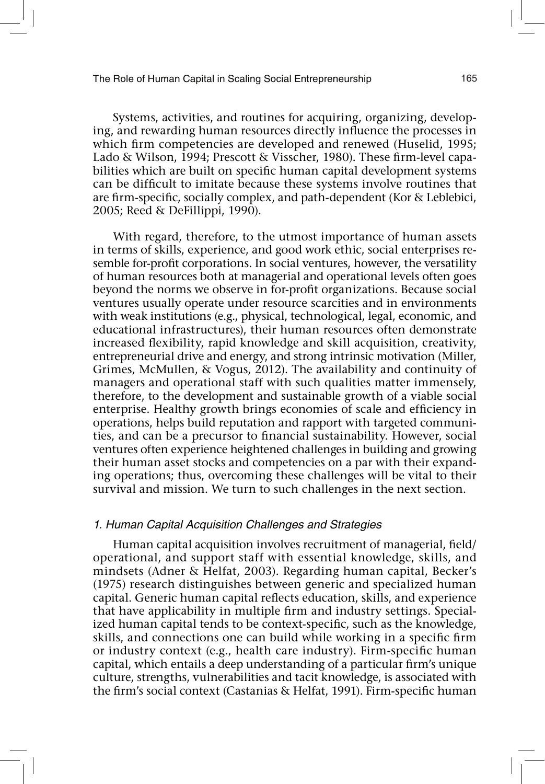Systems, activities, and routines for acquiring, organizing, developing, and rewarding human resources directly influence the processes in which firm competencies are developed and renewed (Huselid, 1995; Lado & Wilson, 1994; Prescott & Visscher, 1980). These firm-level capabilities which are built on specific human capital development systems can be difficult to imitate because these systems involve routines that are firm-specific, socially complex, and path-dependent (Kor & Leblebici, 2005; Reed & DeFillippi, 1990).

With regard, therefore, to the utmost importance of human assets in terms of skills, experience, and good work ethic, social enterprises resemble for-profit corporations. In social ventures, however, the versatility of human resources both at managerial and operational levels often goes beyond the norms we observe in for-profit organizations. Because social ventures usually operate under resource scarcities and in environments with weak institutions (e.g., physical, technological, legal, economic, and educational infrastructures), their human resources often demonstrate increased flexibility, rapid knowledge and skill acquisition, creativity, entrepreneurial drive and energy, and strong intrinsic motivation (Miller, Grimes, McMullen, & Vogus, 2012). The availability and continuity of managers and operational staff with such qualities matter immensely, therefore, to the development and sustainable growth of a viable social enterprise. Healthy growth brings economies of scale and efficiency in operations, helps build reputation and rapport with targeted communities, and can be a precursor to financial sustainability. However, social ventures often experience heightened challenges in building and growing their human asset stocks and competencies on a par with their expanding operations; thus, overcoming these challenges will be vital to their survival and mission. We turn to such challenges in the next section.

#### 1. Human Capital Acquisition Challenges and Strategies

Human capital acquisition involves recruitment of managerial, field/ operational, and support staff with essential knowledge, skills, and mindsets (Adner & Helfat, 2003). Regarding human capital, Becker's (1975) research distinguishes between generic and specialized human capital. Generic human capital reflects education, skills, and experience that have applicability in multiple firm and industry settings. Specialized human capital tends to be context-specific, such as the knowledge, skills, and connections one can build while working in a specific firm or industry context (e.g., health care industry). Firm-specific human capital, which entails a deep understanding of a particular firm's unique culture, strengths, vulnerabilities and tacit knowledge, is associated with the firm's social context (Castanias & Helfat, 1991). Firm-specific human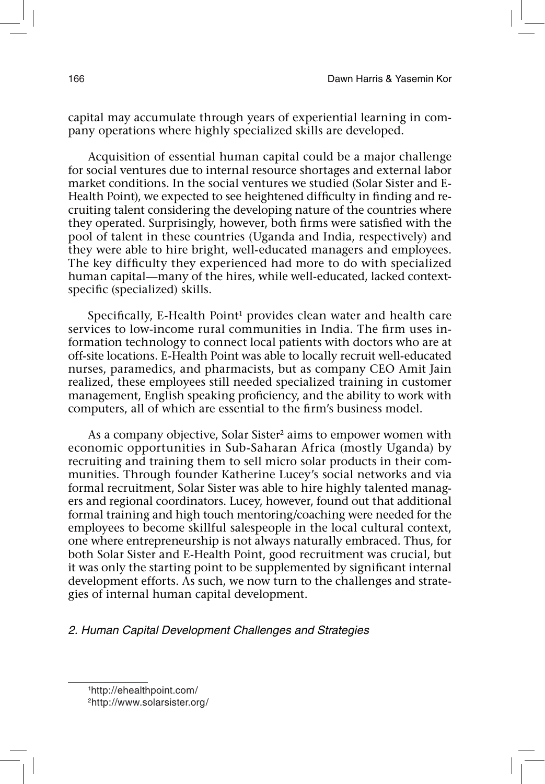capital may accumulate through years of experiential learning in company operations where highly specialized skills are developed.

Acquisition of essential human capital could be a major challenge for social ventures due to internal resource shortages and external labor market conditions. In the social ventures we studied (Solar Sister and E-Health Point), we expected to see heightened difficulty in finding and recruiting talent considering the developing nature of the countries where they operated. Surprisingly, however, both firms were satisfied with the pool of talent in these countries (Uganda and India, respectively) and they were able to hire bright, well-educated managers and employees. The key difficulty they experienced had more to do with specialized human capital—many of the hires, while well-educated, lacked contextspecific (specialized) skills.

Specifically, E-Health Point<sup>1</sup> provides clean water and health care services to low-income rural communities in India. The firm uses information technology to connect local patients with doctors who are at off-site locations. E-Health Point was able to locally recruit well-educated nurses, paramedics, and pharmacists, but as company CEO Amit Jain realized, these employees still needed specialized training in customer management, English speaking proficiency, and the ability to work with computers, all of which are essential to the firm's business model.

As a company objective, Solar Sister<sup>2</sup> aims to empower women with economic opportunities in Sub-Saharan Africa (mostly Uganda) by recruiting and training them to sell micro solar products in their communities. Through founder Katherine Lucey's social networks and via formal recruitment, Solar Sister was able to hire highly talented managers and regional coordinators. Lucey, however, found out that additional formal training and high touch mentoring/coaching were needed for the employees to become skillful salespeople in the local cultural context, one where entrepreneurship is not always naturally embraced. Thus, for both Solar Sister and E-Health Point, good recruitment was crucial, but it was only the starting point to be supplemented by significant internal development efforts. As such, we now turn to the challenges and strategies of internal human capital development.

2. Human Capital Development Challenges and Strategies

<sup>1</sup> http://ehealthpoint.com/

<sup>2</sup>http://www.solarsister.org/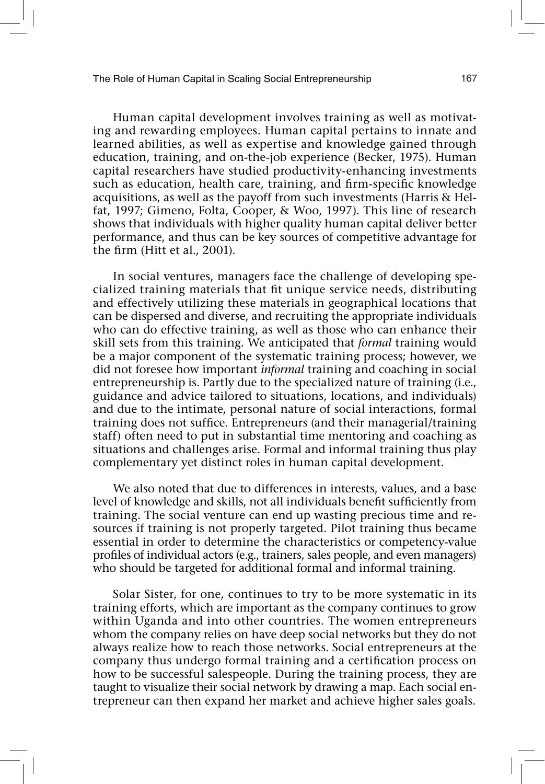Human capital development involves training as well as motivating and rewarding employees. Human capital pertains to innate and learned abilities, as well as expertise and knowledge gained through education, training, and on-the-job experience (Becker, 1975). Human capital researchers have studied productivity-enhancing investments such as education, health care, training, and firm-specific knowledge acquisitions, as well as the payoff from such investments (Harris & Helfat, 1997; Gimeno, Folta, Cooper, & Woo, 1997). This line of research shows that individuals with higher quality human capital deliver better performance, and thus can be key sources of competitive advantage for the firm (Hitt et al., 2001).

In social ventures, managers face the challenge of developing specialized training materials that fit unique service needs, distributing and effectively utilizing these materials in geographical locations that can be dispersed and diverse, and recruiting the appropriate individuals who can do effective training, as well as those who can enhance their skill sets from this training. We anticipated that *formal* training would be a major component of the systematic training process; however, we did not foresee how important *informal* training and coaching in social entrepreneurship is. Partly due to the specialized nature of training (i.e., guidance and advice tailored to situations, locations, and individuals) and due to the intimate, personal nature of social interactions, formal training does not suffice. Entrepreneurs (and their managerial/training staff) often need to put in substantial time mentoring and coaching as situations and challenges arise. Formal and informal training thus play complementary yet distinct roles in human capital development.

We also noted that due to differences in interests, values, and a base level of knowledge and skills, not all individuals benefit sufficiently from training. The social venture can end up wasting precious time and resources if training is not properly targeted. Pilot training thus became essential in order to determine the characteristics or competency-value profiles of individual actors (e.g., trainers, sales people, and even managers) who should be targeted for additional formal and informal training.

Solar Sister, for one, continues to try to be more systematic in its training efforts, which are important as the company continues to grow within Uganda and into other countries. The women entrepreneurs whom the company relies on have deep social networks but they do not always realize how to reach those networks. Social entrepreneurs at the company thus undergo formal training and a certification process on how to be successful salespeople. During the training process, they are taught to visualize their social network by drawing a map. Each social entrepreneur can then expand her market and achieve higher sales goals.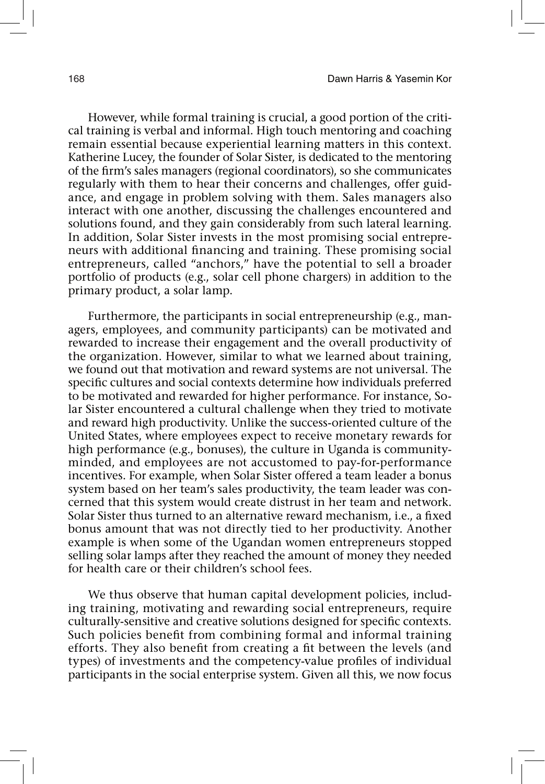However, while formal training is crucial, a good portion of the critical training is verbal and informal. High touch mentoring and coaching remain essential because experiential learning matters in this context. Katherine Lucey, the founder of Solar Sister, is dedicated to the mentoring of the !rm's sales managers (regional coordinators), so she communicates regularly with them to hear their concerns and challenges, offer guidance, and engage in problem solving with them. Sales managers also interact with one another, discussing the challenges encountered and solutions found, and they gain considerably from such lateral learning. In addition, Solar Sister invests in the most promising social entrepreneurs with additional financing and training. These promising social entrepreneurs, called "anchors," have the potential to sell a broader portfolio of products (e.g., solar cell phone chargers) in addition to the primary product, a solar lamp.

Furthermore, the participants in social entrepreneurship (e.g., managers, employees, and community participants) can be motivated and rewarded to increase their engagement and the overall productivity of the organization. However, similar to what we learned about training, we found out that motivation and reward systems are not universal. The specific cultures and social contexts determine how individuals preferred to be motivated and rewarded for higher performance. For instance, Solar Sister encountered a cultural challenge when they tried to motivate and reward high productivity. Unlike the success-oriented culture of the United States, where employees expect to receive monetary rewards for high performance (e.g., bonuses), the culture in Uganda is communityminded, and employees are not accustomed to pay-for-performance incentives. For example, when Solar Sister offered a team leader a bonus system based on her team's sales productivity, the team leader was concerned that this system would create distrust in her team and network. Solar Sister thus turned to an alternative reward mechanism, i.e., a fixed bonus amount that was not directly tied to her productivity. Another example is when some of the Ugandan women entrepreneurs stopped selling solar lamps after they reached the amount of money they needed for health care or their children's school fees.

We thus observe that human capital development policies, including training, motivating and rewarding social entrepreneurs, require culturally-sensitive and creative solutions designed for specific contexts. Such policies benefit from combining formal and informal training efforts. They also benefit from creating a fit between the levels (and types) of investments and the competency-value profiles of individual participants in the social enterprise system. Given all this, we now focus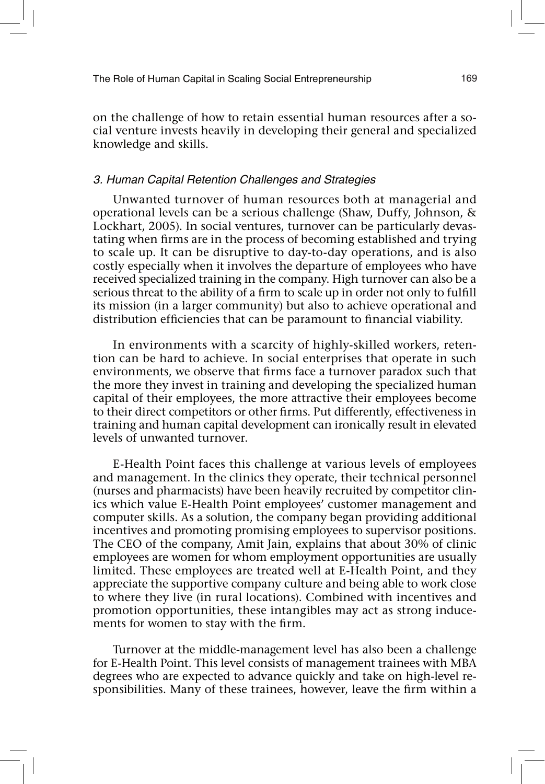on the challenge of how to retain essential human resources after a social venture invests heavily in developing their general and specialized knowledge and skills.

#### 3. Human Capital Retention Challenges and Strategies

Unwanted turnover of human resources both at managerial and operational levels can be a serious challenge (Shaw, Duffy, Johnson, & Lockhart, 2005). In social ventures, turnover can be particularly devastating when firms are in the process of becoming established and trying to scale up. It can be disruptive to day-to-day operations, and is also costly especially when it involves the departure of employees who have received specialized training in the company. High turnover can also be a serious threat to the ability of a firm to scale up in order not only to fulfill its mission (in a larger community) but also to achieve operational and distribution efficiencies that can be paramount to financial viability.

In environments with a scarcity of highly-skilled workers, retention can be hard to achieve. In social enterprises that operate in such environments, we observe that firms face a turnover paradox such that the more they invest in training and developing the specialized human capital of their employees, the more attractive their employees become to their direct competitors or other firms. Put differently, effectiveness in training and human capital development can ironically result in elevated levels of unwanted turnover.

E-Health Point faces this challenge at various levels of employees and management. In the clinics they operate, their technical personnel (nurses and pharmacists) have been heavily recruited by competitor clinics which value E-Health Point employees' customer management and computer skills. As a solution, the company began providing additional incentives and promoting promising employees to supervisor positions. The CEO of the company, Amit Jain, explains that about 30% of clinic employees are women for whom employment opportunities are usually limited. These employees are treated well at E-Health Point, and they appreciate the supportive company culture and being able to work close to where they live (in rural locations). Combined with incentives and promotion opportunities, these intangibles may act as strong inducements for women to stay with the firm.

Turnover at the middle-management level has also been a challenge for E-Health Point. This level consists of management trainees with MBA degrees who are expected to advance quickly and take on high-level responsibilities. Many of these trainees, however, leave the firm within a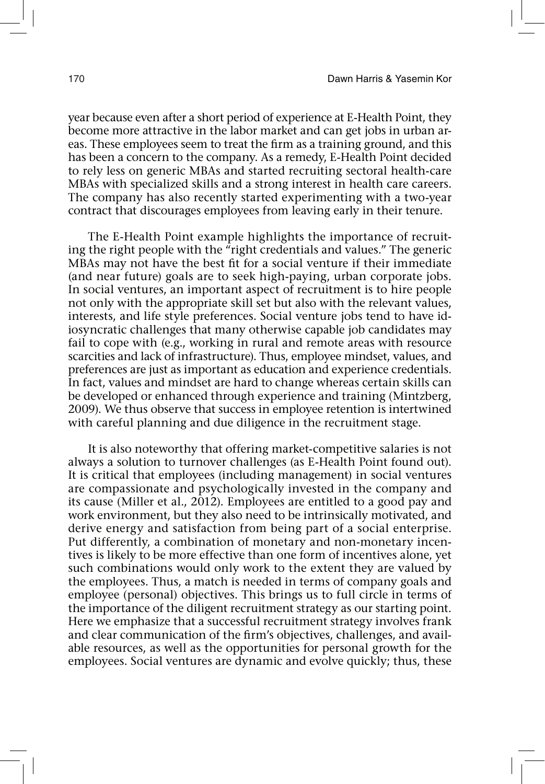year because even after a short period of experience at E-Health Point, they become more attractive in the labor market and can get jobs in urban areas. These employees seem to treat the firm as a training ground, and this has been a concern to the company. As a remedy, E-Health Point decided to rely less on generic MBAs and started recruiting sectoral health-care MBAs with specialized skills and a strong interest in health care careers. The company has also recently started experimenting with a two-year contract that discourages employees from leaving early in their tenure.

The E-Health Point example highlights the importance of recruiting the right people with the "right credentials and values." The generic MBAs may not have the best fit for a social venture if their immediate (and near future) goals are to seek high-paying, urban corporate jobs. In social ventures, an important aspect of recruitment is to hire people not only with the appropriate skill set but also with the relevant values, interests, and life style preferences. Social venture jobs tend to have idiosyncratic challenges that many otherwise capable job candidates may fail to cope with (e.g., working in rural and remote areas with resource scarcities and lack of infrastructure). Thus, employee mindset, values, and preferences are just as important as education and experience credentials. In fact, values and mindset are hard to change whereas certain skills can be developed or enhanced through experience and training (Mintzberg, 2009). We thus observe that success in employee retention is intertwined with careful planning and due diligence in the recruitment stage.

It is also noteworthy that offering market-competitive salaries is not always a solution to turnover challenges (as E-Health Point found out). It is critical that employees (including management) in social ventures are compassionate and psychologically invested in the company and its cause (Miller et al., 2012). Employees are entitled to a good pay and work environment, but they also need to be intrinsically motivated, and derive energy and satisfaction from being part of a social enterprise. Put differently, a combination of monetary and non-monetary incentives is likely to be more effective than one form of incentives alone, yet such combinations would only work to the extent they are valued by the employees. Thus, a match is needed in terms of company goals and employee (personal) objectives. This brings us to full circle in terms of the importance of the diligent recruitment strategy as our starting point. Here we emphasize that a successful recruitment strategy involves frank and clear communication of the firm's objectives, challenges, and available resources, as well as the opportunities for personal growth for the employees. Social ventures are dynamic and evolve quickly; thus, these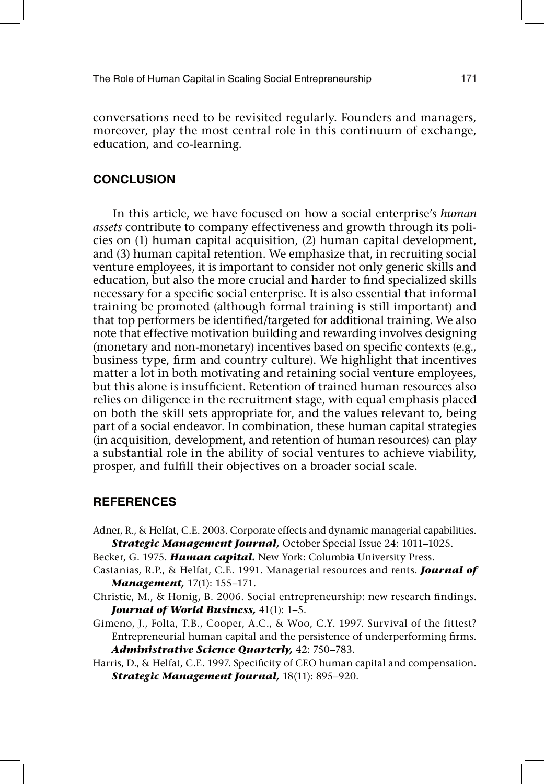conversations need to be revisited regularly. Founders and managers, moreover, play the most central role in this continuum of exchange, education, and co-learning.

# **CONCLUSION**

In this article, we have focused on how a social enterprise's *human assets* contribute to company effectiveness and growth through its policies on (1) human capital acquisition, (2) human capital development, and (3) human capital retention. We emphasize that, in recruiting social venture employees, it is important to consider not only generic skills and education, but also the more crucial and harder to find specialized skills necessary for a specific social enterprise. It is also essential that informal training be promoted (although formal training is still important) and that top performers be identified/targeted for additional training. We also note that effective motivation building and rewarding involves designing (monetary and non-monetary) incentives based on specific contexts (e.g., business type, firm and country culture). We highlight that incentives matter a lot in both motivating and retaining social venture employees, but this alone is insufficient. Retention of trained human resources also relies on diligence in the recruitment stage, with equal emphasis placed on both the skill sets appropriate for, and the values relevant to, being part of a social endeavor. In combination, these human capital strategies (in acquisition, development, and retention of human resources) can play a substantial role in the ability of social ventures to achieve viability, prosper, and fulfill their objectives on a broader social scale.

### **REFERENCES**

- Adner, R., & Helfat, C.E. 2003. Corporate effects and dynamic managerial capabilities. *Strategic Management Journal,* October Special Issue 24: 1011–1025.
- Becker, G. 1975. *Human capital***.** New York: Columbia University Press.
- Castanias, R.P., & Helfat, C.E. 1991. Managerial resources and rents. *Journal of Management,* 17(1): 155–171.
- Christie, M., & Honig, B. 2006. Social entrepreneurship: new research findings. *Journal of World Business,* 41(1): 1–5.
- Gimeno, J., Folta, T.B., Cooper, A.C., & Woo, C.Y. 1997. Survival of the fittest? Entrepreneurial human capital and the persistence of underperforming firms. *Administrative Science Quarterly,* 42: 750–783.
- Harris, D., & Helfat, C.E. 1997. Specificity of CEO human capital and compensation. *Strategic Management Journal,* 18(11): 895–920.